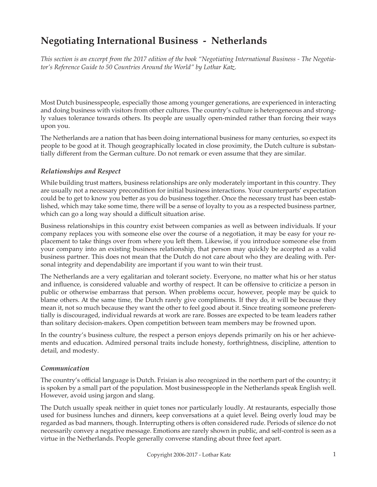# **Negotiating International Business - Netherlands**

*This section is an excerpt from the 2017 edition of the book "Negotiating International Business - The Negotiator's Reference Guide to 50 Countries Around the World" by Lothar Katz.*

Most Dutch businesspeople, especially those among younger generations, are experienced in interacting and doing business with visitors from other cultures. The country's culture is heterogeneous and strongly values tolerance towards others. Its people are usually open-minded rather than forcing their ways upon you.

The Netherlands are a nation that has been doing international business for many centuries, so expect its people to be good at it. Though geographically located in close proximity, the Dutch culture is substantially different from the German culture. Do not remark or even assume that they are similar.

## *Relationships and Respect*

While building trust matters, business relationships are only moderately important in this country. They are usually not a necessary precondition for initial business interactions. Your counterparts' expectation could be to get to know you better as you do business together. Once the necessary trust has been established, which may take some time, there will be a sense of loyalty to you as a respected business partner, which can go a long way should a difficult situation arise.

Business relationships in this country exist between companies as well as between individuals. If your company replaces you with someone else over the course of a negotiation, it may be easy for your replacement to take things over from where you left them. Likewise, if you introduce someone else from your company into an existing business relationship, that person may quickly be accepted as a valid business partner. This does not mean that the Dutch do not care about who they are dealing with. Personal integrity and dependability are important if you want to win their trust.

The Netherlands are a very egalitarian and tolerant society. Everyone, no matter what his or her status and influence, is considered valuable and worthy of respect. It can be offensive to criticize a person in public or otherwise embarrass that person. When problems occur, however, people may be quick to blame others. At the same time, the Dutch rarely give compliments. If they do, it will be because they mean it, not so much because they want the other to feel good about it. Since treating someone preferentially is discouraged, individual rewards at work are rare. Bosses are expected to be team leaders rather than solitary decision-makers. Open competition between team members may be frowned upon.

In the country's business culture, the respect a person enjoys depends primarily on his or her achievements and education. Admired personal traits include honesty, forthrightness, discipline, attention to detail, and modesty.

### *Communication*

The country's official language is Dutch. Frisian is also recognized in the northern part of the country; it is spoken by a small part of the population. Most businesspeople in the Netherlands speak English well. However, avoid using jargon and slang.

The Dutch usually speak neither in quiet tones nor particularly loudly. At restaurants, especially those used for business lunches and dinners, keep conversations at a quiet level. Being overly loud may be regarded as bad manners, though. Interrupting others is often considered rude. Periods of silence do not necessarily convey a negative message. Emotions are rarely shown in public, and self-control is seen as a virtue in the Netherlands. People generally converse standing about three feet apart.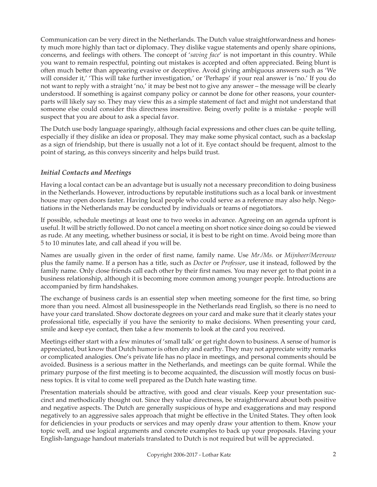Communication can be very direct in the Netherlands. The Dutch value straightforwardness and honesty much more highly than tact or diplomacy. They dislike vague statements and openly share opinions, concerns, and feelings with others. The concept of '*saving face*' is not important in this country. While you want to remain respectful, pointing out mistakes is accepted and often appreciated. Being blunt is often much better than appearing evasive or deceptive. Avoid giving ambiguous answers such as 'We will consider it,' 'This will take further investigation,' or 'Perhaps' if your real answer is 'no.' If you do not want to reply with a straight 'no,' it may be best not to give any answer – the message will be clearly understood. If something is against company policy or cannot be done for other reasons, your counterparts will likely say so. They may view this as a simple statement of fact and might not understand that someone else could consider this directness insensitive. Being overly polite is a mistake - people will suspect that you are about to ask a special favor.

The Dutch use body language sparingly, although facial expressions and other clues can be quite telling, especially if they dislike an idea or proposal. They may make some physical contact, such as a backslap as a sign of friendship, but there is usually not a lot of it. Eye contact should be frequent, almost to the point of staring, as this conveys sincerity and helps build trust.

### *Initial Contacts and Meetings*

Having a local contact can be an advantage but is usually not a necessary precondition to doing business in the Netherlands. However, introductions by reputable institutions such as a local bank or investment house may open doors faster. Having local people who could serve as a reference may also help. Negotiations in the Netherlands may be conducted by individuals or teams of negotiators.

If possible, schedule meetings at least one to two weeks in advance. Agreeing on an agenda upfront is useful. It will be strictly followed. Do not cancel a meeting on short notice since doing so could be viewed as rude. At any meeting, whether business or social, it is best to be right on time. Avoid being more than 5 to 10 minutes late, and call ahead if you will be.

Names are usually given in the order of first name, family name. Use *Mr./Ms.* or *Mijnheer/Mevrouw* plus the family name. If a person has a title, such as *Doctor* or *Professor*, use it instead, followed by the family name. Only close friends call each other by their first names. You may never get to that point in a business relationship, although it is becoming more common among younger people. Introductions are accompanied by firm handshakes.

The exchange of business cards is an essential step when meeting someone for the first time, so bring more than you need. Almost all businesspeople in the Netherlands read English, so there is no need to have your card translated. Show doctorate degrees on your card and make sure that it clearly states your professional title, especially if you have the seniority to make decisions. When presenting your card, smile and keep eye contact, then take a few moments to look at the card you received.

Meetings either start with a few minutes of 'small talk' or get right down to business. A sense of humor is appreciated, but know that Dutch humor is often dry and earthy. They may not appreciate witty remarks or complicated analogies. One's private life has no place in meetings, and personal comments should be avoided. Business is a serious matter in the Netherlands, and meetings can be quite formal. While the primary purpose of the first meeting is to become acquainted, the discussion will mostly focus on business topics. It is vital to come well prepared as the Dutch hate wasting time.

Presentation materials should be attractive, with good and clear visuals. Keep your presentation succinct and methodically thought out. Since they value directness, be straightforward about both positive and negative aspects. The Dutch are generally suspicious of hype and exaggerations and may respond negatively to an aggressive sales approach that might be effective in the United States. They often look for deficiencies in your products or services and may openly draw your attention to them. Know your topic well, and use logical arguments and concrete examples to back up your proposals. Having your English-language handout materials translated to Dutch is not required but will be appreciated.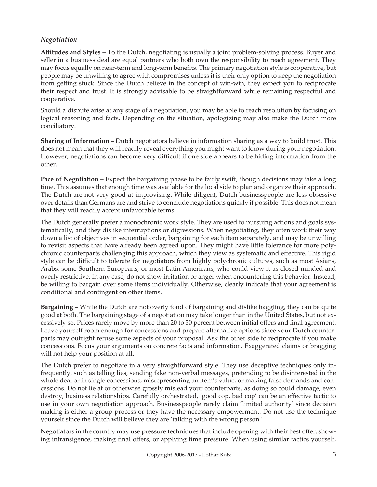### *Negotiation*

**Attitudes and Styles –** To the Dutch, negotiating is usually a joint problem-solving process. Buyer and seller in a business deal are equal partners who both own the responsibility to reach agreement. They may focus equally on near-term and long-term benefits. The primary negotiation style is cooperative, but people may be unwilling to agree with compromises unless it is their only option to keep the negotiation from getting stuck. Since the Dutch believe in the concept of win-win, they expect you to reciprocate their respect and trust. It is strongly advisable to be straightforward while remaining respectful and cooperative.

Should a dispute arise at any stage of a negotiation, you may be able to reach resolution by focusing on logical reasoning and facts. Depending on the situation, apologizing may also make the Dutch more conciliatory.

**Sharing of Information –** Dutch negotiators believe in information sharing as a way to build trust. This does not mean that they will readily reveal everything you might want to know during your negotiation. However, negotiations can become very difficult if one side appears to be hiding information from the other.

**Pace of Negotiation –** Expect the bargaining phase to be fairly swift, though decisions may take a long time. This assumes that enough time was available for the local side to plan and organize their approach. The Dutch are not very good at improvising. While diligent, Dutch businesspeople are less obsessive over details than Germans are and strive to conclude negotiations quickly if possible. This does not mean that they will readily accept unfavorable terms.

The Dutch generally prefer a monochronic work style. They are used to pursuing actions and goals systematically, and they dislike interruptions or digressions. When negotiating, they often work their way down a list of objectives in sequential order, bargaining for each item separately, and may be unwilling to revisit aspects that have already been agreed upon. They might have little tolerance for more polychronic counterparts challenging this approach, which they view as systematic and effective. This rigid style can be difficult to tolerate for negotiators from highly polychronic cultures, such as most Asians, Arabs, some Southern Europeans, or most Latin Americans, who could view it as closed-minded and overly restrictive. In any case, do not show irritation or anger when encountering this behavior. Instead, be willing to bargain over some items individually. Otherwise, clearly indicate that your agreement is conditional and contingent on other items.

**Bargaining –** While the Dutch are not overly fond of bargaining and dislike haggling, they can be quite good at both. The bargaining stage of a negotiation may take longer than in the United States, but not excessively so. Prices rarely move by more than 20 to 30 percent between initial offers and final agreement. Leave yourself room enough for concessions and prepare alternative options since your Dutch counterparts may outright refuse some aspects of your proposal. Ask the other side to reciprocate if you make concessions. Focus your arguments on concrete facts and information. Exaggerated claims or bragging will not help your position at all.

The Dutch prefer to negotiate in a very straightforward style. They use deceptive techniques only infrequently, such as telling lies, sending fake non-verbal messages, pretending to be disinterested in the whole deal or in single concessions, misrepresenting an item's value, or making false demands and concessions. Do not lie at or otherwise grossly mislead your counterparts, as doing so could damage, even destroy, business relationships. Carefully orchestrated, 'good cop, bad cop' can be an effective tactic to use in your own negotiation approach. Businesspeople rarely claim 'limited authority' since decision making is either a group process or they have the necessary empowerment. Do not use the technique yourself since the Dutch will believe they are 'talking with the wrong person.'

Negotiators in the country may use pressure techniques that include opening with their best offer, showing intransigence, making final offers, or applying time pressure. When using similar tactics yourself,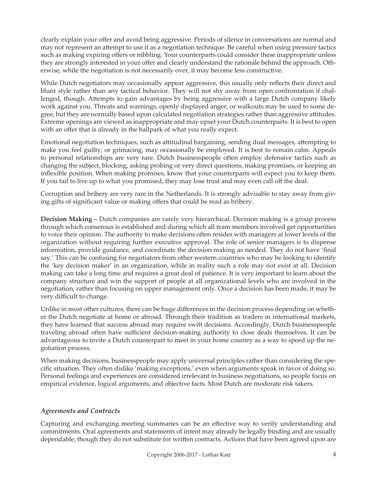clearly explain your offer and avoid being aggressive. Periods of silence in conversations are normal and may not represent an attempt to use it as a negotiation technique. Be careful when using pressure tactics such as making expiring offers or nibbling. Your counterparts could consider these inappropriate unless they are strongly interested in your offer and clearly understand the rationale behind the approach. Otherwise, while the negotiation is not necessarily over, it may become less constructive.

While Dutch negotiators may occasionally appear aggressive, this usually only reflects their direct and blunt style rather than any tactical behavior. They will not shy away from open confrontation if challenged, though. Attempts to gain advantages by being aggressive with a large Dutch company likely work against you. Threats and warnings, openly displayed anger, or walkouts may be used to some degree, but they are normally based upon calculated negotiation strategies rather than aggressive attitudes. Extreme openings are viewed as inappropriate and may upset your Dutch counterparts. It is best to open with an offer that is already in the ballpark of what you really expect.

Emotional negotiation techniques, such as attitudinal bargaining, sending dual messages, attempting to make you feel guilty, or grimacing, may occasionally be employed. It is best to remain calm. Appeals to personal relationships are very rare. Dutch businesspeople often employ defensive tactics such as changing the subject, blocking, asking probing or very direct questions, making promises, or keeping an inflexible position. When making promises, know that your counterparts will expect you to keep them. If you fail to live up to what you promised, they may lose trust and may even call off the deal.

Corruption and bribery are very rare in the Netherlands. It is strongly advisable to stay away from giving gifts of significant value or making offers that could be read as bribery.

**Decision Making –** Dutch companies are rarely very hierarchical. Decision making is a group process through which consensus is established and during which all team members involved get opportunities to voice their opinion. The authority to make decisions often resides with managers at lower levels of the organization without requiring further executive approval. The role of senior managers is to dispense information, provide guidance, and coordinate the decision making as needed. They do not have 'final say.' This can be confusing for negotiators from other western countries who may be looking to identify the 'key decision maker' in an organization, while in reality such a role may not exist at all. Decision making can take a long time and requires a great deal of patience. It is very important to learn about the company structure and win the support of people at all organizational levels who are involved in the negotiation, rather than focusing on upper management only. Once a decision has been made, it may be very difficult to change.

Unlike in most other cultures, there can be huge differences in the decision process depending on whether the Dutch negotiate at home or abroad. Through their tradition as traders in international markets, they have learned that success abroad may require swift decisions. Accordingly, Dutch businesspeople traveling abroad often have sufficient decision-making authority to close deals themselves. It can be advantageous to invite a Dutch counterpart to meet in your home country as a way to speed up the negotiation process.

When making decisions, businesspeople may apply universal principles rather than considering the specific situation. They often dislike 'making exceptions,' even when arguments speak in favor of doing so. Personal feelings and experiences are considered irrelevant in business negotiations, so people focus on empirical evidence, logical arguments, and objective facts. Most Dutch are moderate risk takers.

### *Agreements and Contracts*

Capturing and exchanging meeting summaries can be an effective way to verify understanding and commitments. Oral agreements and statements of intent may already be legally binding and are usually dependable, though they do not substitute for written contracts. Actions that have been agreed upon are